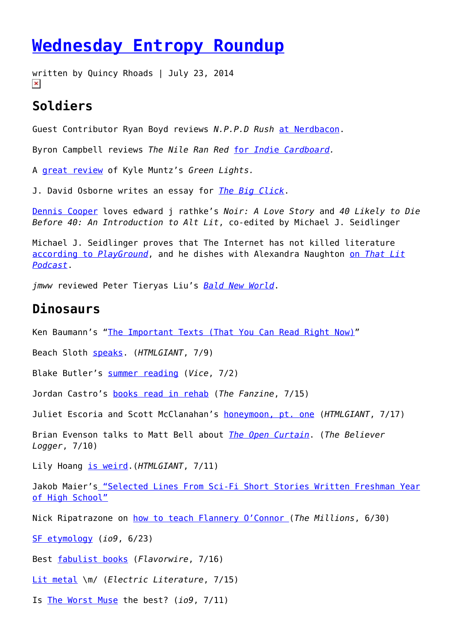## **[Wednesday Entropy Roundup](https://entropymag.org/wednesday-entropy-roundup-18/)**

written by Quincy Rhoads | July 23, 2014  $\pmb{\times}$ 

## **Soldiers**

Guest Contributor Ryan Boyd reviews *N.P.P.D Rush* [at Nerdbacon](http://nerdbacon.com/n-p-p-d-rush/).

Byron Campbell reviews *The Nile Ran Red* [for](http://www.indiecardboard.com/the-nile-ran-red) *[Ind](http://www.indiecardboard.com/the-nile-ran-red)*[ie](http://www.indiecardboard.com/the-nile-ran-red) *[Cardboard](http://www.indiecardboard.com/the-nile-ran-red).*

A [great review](http://mckenzielynntozan.wordpress.com/2014/07/06/the-spectrum-of-mood-mind-reading-kyle-muntzs-green-lights/) of Kyle Muntz's *Green Lights.*

J. David Osborne writes an essay for *[The Big Click](http://www.thebigclickmag.com/knowing/)*.

[Dennis Cooper](http://denniscooper-theweaklings.blogspot.fr/2014/07/4-books-i-read-recently-loved-100-civil.html?zx=b2d18e1db3d2b465) loves edward j rathke's *Noir: A Love Story* and *40 Likely to Die Before 40: An Introduction to Alt Lit*, co-edited by Michael J. Seidlinger

Michael J. Seidlinger proves that The Internet has not killed literature [according to](http://www.playgroundmag.net/musica/noticias-musica/actualidad-musical/9-nombres-que-demuestran-que-internet-no-ha-matado-a-la-literatura) *[PlayGround](http://www.playgroundmag.net/musica/noticias-musica/actualidad-musical/9-nombres-que-demuestran-que-internet-no-ha-matado-a-la-literatura)*, and he dishes with Alexandra Naughton [on](http://thatlitpodcast.podomatic.com/entry/2014-07-13T23_45_25-07_00) *[That Lit](http://thatlitpodcast.podomatic.com/entry/2014-07-13T23_45_25-07_00) [Podcast](http://thatlitpodcast.podomatic.com/entry/2014-07-13T23_45_25-07_00)*.

*jmww* reviewed Peter Tieryas Liu's *[Bald New World](http://jmwwjournal.com/Tieryas2rev.html)*.

## **Dinosaurs**

Ken Baumann's "[The Important Texts \(That You Can Read Right Now\)](http://kenbaumann.tumblr.com/post/61641776017/the-important-texts)"

Beach Sloth [speaks.](http://htmlgiant.com/interviews-2/a-sloths-perspective/) (*HTMLGIANT*, 7/9)

Blake Butler's [summer reading](http://www.vice.com/en_ca/read/summer-reading-list-zombie-hordes-snuff-films-haunted-computers-368) (*Vice*, 7/2)

Jordan Castro's [books read in rehab](http://thefanzine.com/books-i-read-in-rehab/) (*The Fanzine*, 7/15)

Juliet Escoria and Scott McClanahan's [honeymoon, pt. one](http://htmlgiant.com/tour/juliet-escoria-scott-mcclanahans-honeymoon-tour-diary-part-1/) (*HTMLGIANT*, 7/17)

Brian Evenson talks to Matt Bell about *[The Open Curtain](http://logger.believermag.com/post/91365296664/5x5-brian-evenson)*. (*The Believer Logger*, 7/10)

Lily Hoang [is weird](http://htmlgiant.com/random/on-being-weird-and-fashion/).(*HTMLGIANT*, 7/11)

Jakob Maier's ["Selected Lines From Sci-Fi Short Stories Written Freshman Year](http://theneweryork.com/selected-lines-from-sci-fi-short-stories-written-freshman-year-of-high-school-jakob-maier/) [of High School"](http://theneweryork.com/selected-lines-from-sci-fi-short-stories-written-freshman-year-of-high-school-jakob-maier/)

Nick Ripatrazone on [how to teach Flannery O'Connor](http://www.themillions.com/2014/06/mystery-and-manners-on-teaching-flannery-oconnor.html) (*The Millions*, 6/30)

[SF etymology](http://io9.com/31-essential-science-fiction-terms-and-where-they-came-1594794250) (*io9*, 6/23)

Best [fabulist books](http://flavorwire.com/467349/50-excellent-fabulist-books-everyone-should-read/21) (*Flavorwire*, 7/16)

[Lit metal](http://electricliterature.com/the-eleven-best-metal-songs-about-literature/) \m/ (*Electric Literature*, 7/15)

Is [The Worst Muse](http://io9.com/do-not-take-writing-advice-from-the-worst-muse-1603438929?utm_campaign=socialflow_io9_facebook&utm_source=io9_facebook&utm_medium=socialflow) the best? (*io9*, 7/11)